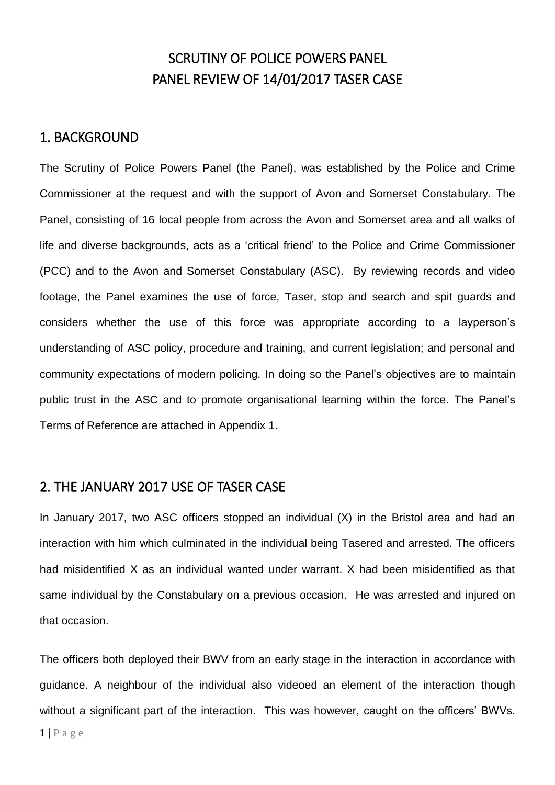## SCRUTINY OF POLICE POWERS PANEL PANEL REVIEW OF 14/01/2017 TASER CASE

### 1. BACKGROUND

The Scrutiny of Police Powers Panel (the Panel), was established by the Police and Crime Commissioner at the request and with the support of Avon and Somerset Constabulary. The Panel, consisting of 16 local people from across the Avon and Somerset area and all walks of life and diverse backgrounds, acts as a 'critical friend' to the Police and Crime Commissioner (PCC) and to the Avon and Somerset Constabulary (ASC). By reviewing records and video footage, the Panel examines the use of force, Taser, stop and search and spit guards and considers whether the use of this force was appropriate according to a layperson's understanding of ASC policy, procedure and training, and current legislation; and personal and community expectations of modern policing. In doing so the Panel's objectives are to maintain public trust in the ASC and to promote organisational learning within the force. The Panel's Terms of Reference are attached in Appendix 1.

### 2. THE JANUARY 2017 USE OF TASER CASE

In January 2017, two ASC officers stopped an individual (X) in the Bristol area and had an interaction with him which culminated in the individual being Tasered and arrested. The officers had misidentified X as an individual wanted under warrant. X had been misidentified as that same individual by the Constabulary on a previous occasion. He was arrested and injured on that occasion.

The officers both deployed their BWV from an early stage in the interaction in accordance with guidance. A neighbour of the individual also videoed an element of the interaction though without a significant part of the interaction. This was however, caught on the officers' BWVs.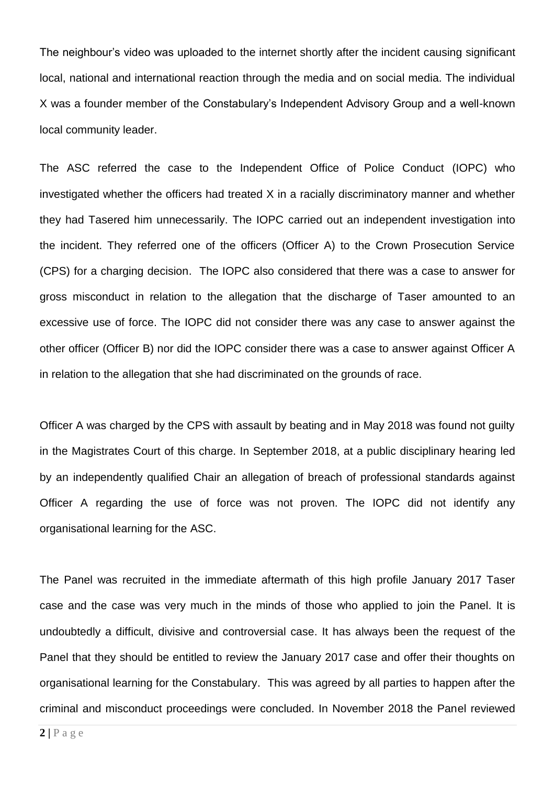The neighbour's video was uploaded to the internet shortly after the incident causing significant local, national and international reaction through the media and on social media. The individual X was a founder member of the Constabulary's Independent Advisory Group and a well-known local community leader.

The ASC referred the case to the Independent Office of Police Conduct (IOPC) who investigated whether the officers had treated X in a racially discriminatory manner and whether they had Tasered him unnecessarily. The IOPC carried out an independent investigation into the incident. They referred one of the officers (Officer A) to the Crown Prosecution Service (CPS) for a charging decision. The IOPC also considered that there was a case to answer for gross misconduct in relation to the allegation that the discharge of Taser amounted to an excessive use of force. The IOPC did not consider there was any case to answer against the other officer (Officer B) nor did the IOPC consider there was a case to answer against Officer A in relation to the allegation that she had discriminated on the grounds of race.

Officer A was charged by the CPS with assault by beating and in May 2018 was found not guilty in the Magistrates Court of this charge. In September 2018, at a public disciplinary hearing led by an independently qualified Chair an allegation of breach of professional standards against Officer A regarding the use of force was not proven. The IOPC did not identify any organisational learning for the ASC.

The Panel was recruited in the immediate aftermath of this high profile January 2017 Taser case and the case was very much in the minds of those who applied to join the Panel. It is undoubtedly a difficult, divisive and controversial case. It has always been the request of the Panel that they should be entitled to review the January 2017 case and offer their thoughts on organisational learning for the Constabulary. This was agreed by all parties to happen after the criminal and misconduct proceedings were concluded. In November 2018 the Panel reviewed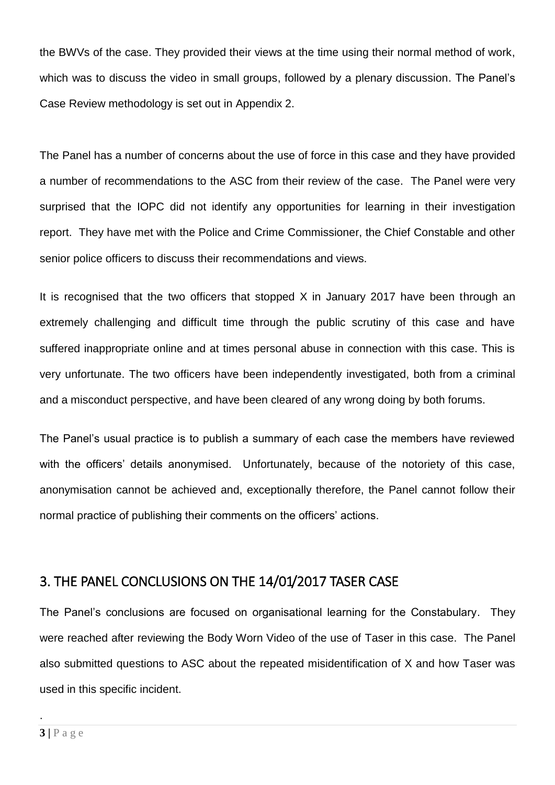the BWVs of the case. They provided their views at the time using their normal method of work, which was to discuss the video in small groups, followed by a plenary discussion. The Panel's Case Review methodology is set out in Appendix 2.

The Panel has a number of concerns about the use of force in this case and they have provided a number of recommendations to the ASC from their review of the case. The Panel were very surprised that the IOPC did not identify any opportunities for learning in their investigation report. They have met with the Police and Crime Commissioner, the Chief Constable and other senior police officers to discuss their recommendations and views.

It is recognised that the two officers that stopped  $X$  in January 2017 have been through an extremely challenging and difficult time through the public scrutiny of this case and have suffered inappropriate online and at times personal abuse in connection with this case. This is very unfortunate. The two officers have been independently investigated, both from a criminal and a misconduct perspective, and have been cleared of any wrong doing by both forums.

The Panel's usual practice is to publish a summary of each case the members have reviewed with the officers' details anonymised. Unfortunately, because of the notoriety of this case, anonymisation cannot be achieved and, exceptionally therefore, the Panel cannot follow their normal practice of publishing their comments on the officers' actions.

## 3. THE PANEL CONCLUSIONS ON THE 14/01/2017 TASER CASE

The Panel's conclusions are focused on organisational learning for the Constabulary. They were reached after reviewing the Body Worn Video of the use of Taser in this case. The Panel also submitted questions to ASC about the repeated misidentification of X and how Taser was used in this specific incident.

.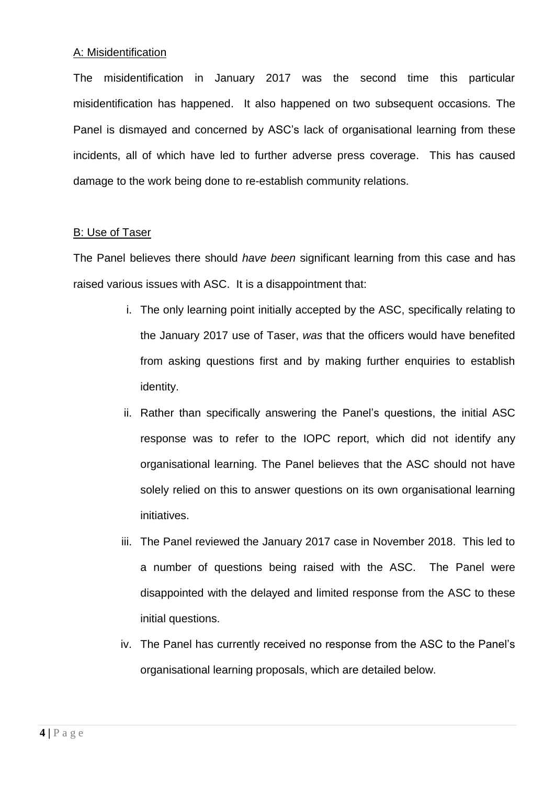### A: Misidentification

The misidentification in January 2017 was the second time this particular misidentification has happened. It also happened on two subsequent occasions. The Panel is dismayed and concerned by ASC's lack of organisational learning from these incidents, all of which have led to further adverse press coverage. This has caused damage to the work being done to re-establish community relations.

### B: Use of Taser

The Panel believes there should *have been* significant learning from this case and has raised various issues with ASC. It is a disappointment that:

- i. The only learning point initially accepted by the ASC, specifically relating to the January 2017 use of Taser, *was* that the officers would have benefited from asking questions first and by making further enquiries to establish identity.
- ii. Rather than specifically answering the Panel's questions, the initial ASC response was to refer to the IOPC report, which did not identify any organisational learning. The Panel believes that the ASC should not have solely relied on this to answer questions on its own organisational learning initiatives.
- iii. The Panel reviewed the January 2017 case in November 2018. This led to a number of questions being raised with the ASC. The Panel were disappointed with the delayed and limited response from the ASC to these initial questions.
- iv. The Panel has currently received no response from the ASC to the Panel's organisational learning proposals, which are detailed below.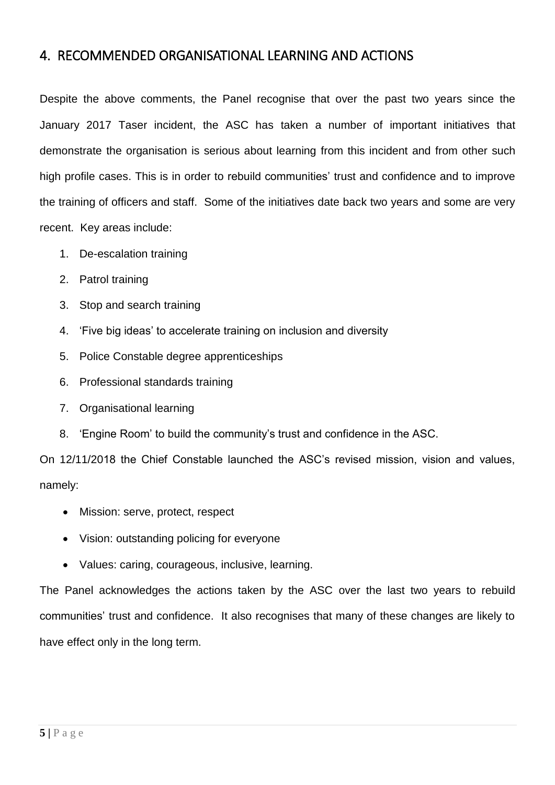### 4. RECOMMENDED ORGANISATIONAL LEARNING AND ACTIONS

Despite the above comments, the Panel recognise that over the past two years since the January 2017 Taser incident, the ASC has taken a number of important initiatives that demonstrate the organisation is serious about learning from this incident and from other such high profile cases. This is in order to rebuild communities' trust and confidence and to improve the training of officers and staff. Some of the initiatives date back two years and some are very recent. Key areas include:

- 1. De-escalation training
- 2. Patrol training
- 3. Stop and search training
- 4. 'Five big ideas' to accelerate training on inclusion and diversity
- 5. Police Constable degree apprenticeships
- 6. Professional standards training
- 7. Organisational learning
- 8. 'Engine Room' to build the community's trust and confidence in the ASC.

On 12/11/2018 the Chief Constable launched the ASC's revised mission, vision and values, namely:

- Mission: serve, protect, respect
- Vision: outstanding policing for everyone
- Values: caring, courageous, inclusive, learning.

The Panel acknowledges the actions taken by the ASC over the last two years to rebuild communities' trust and confidence. It also recognises that many of these changes are likely to have effect only in the long term.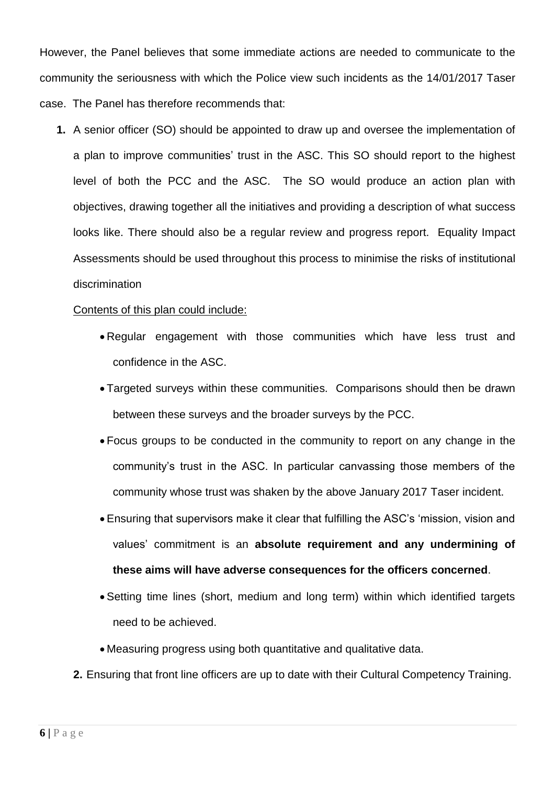However, the Panel believes that some immediate actions are needed to communicate to the community the seriousness with which the Police view such incidents as the 14/01/2017 Taser case. The Panel has therefore recommends that:

**1.** A senior officer (SO) should be appointed to draw up and oversee the implementation of a plan to improve communities' trust in the ASC. This SO should report to the highest level of both the PCC and the ASC. The SO would produce an action plan with objectives, drawing together all the initiatives and providing a description of what success looks like. There should also be a regular review and progress report. Equality Impact Assessments should be used throughout this process to minimise the risks of institutional discrimination

### Contents of this plan could include:

- Regular engagement with those communities which have less trust and confidence in the ASC.
- Targeted surveys within these communities. Comparisons should then be drawn between these surveys and the broader surveys by the PCC.
- Focus groups to be conducted in the community to report on any change in the community's trust in the ASC. In particular canvassing those members of the community whose trust was shaken by the above January 2017 Taser incident.
- Ensuring that supervisors make it clear that fulfilling the ASC's 'mission, vision and values' commitment is an **absolute requirement and any undermining of these aims will have adverse consequences for the officers concerned**.
- Setting time lines (short, medium and long term) within which identified targets need to be achieved.
- Measuring progress using both quantitative and qualitative data.
- **2.** Ensuring that front line officers are up to date with their Cultural Competency Training.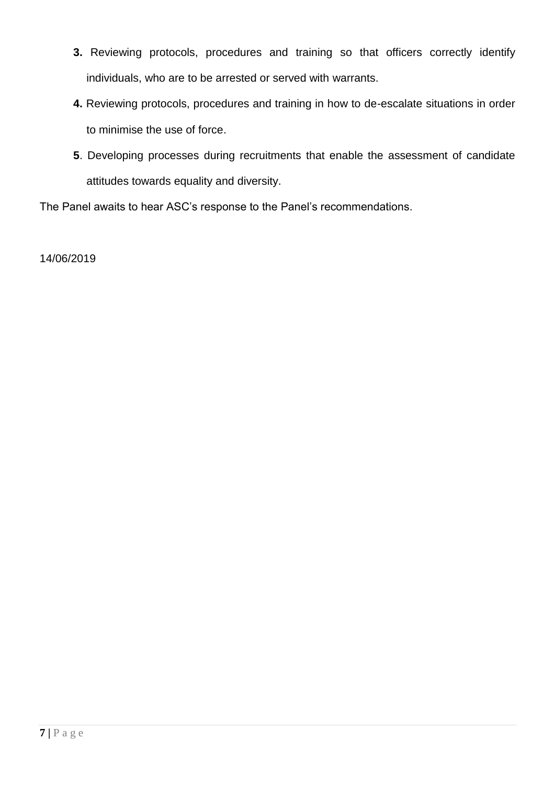- **3.** Reviewing protocols, procedures and training so that officers correctly identify individuals, who are to be arrested or served with warrants.
- **4.** Reviewing protocols, procedures and training in how to de-escalate situations in order to minimise the use of force.
- **5**. Developing processes during recruitments that enable the assessment of candidate attitudes towards equality and diversity.

The Panel awaits to hear ASC's response to the Panel's recommendations.

14/06/2019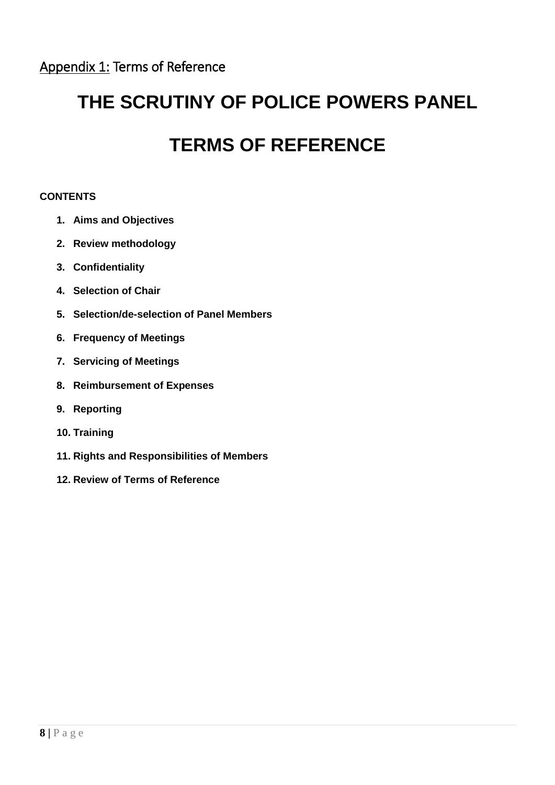# **THE SCRUTINY OF POLICE POWERS PANEL**

# **TERMS OF REFERENCE**

### **CONTENTS**

- **1. Aims and Objectives**
- **2. Review methodology**
- **3. Confidentiality**
- **4. Selection of Chair**
- **5. Selection/de-selection of Panel Members**
- **6. Frequency of Meetings**
- **7. Servicing of Meetings**
- **8. Reimbursement of Expenses**
- **9. Reporting**
- **10. Training**
- **11. Rights and Responsibilities of Members**
- **12. Review of Terms of Reference**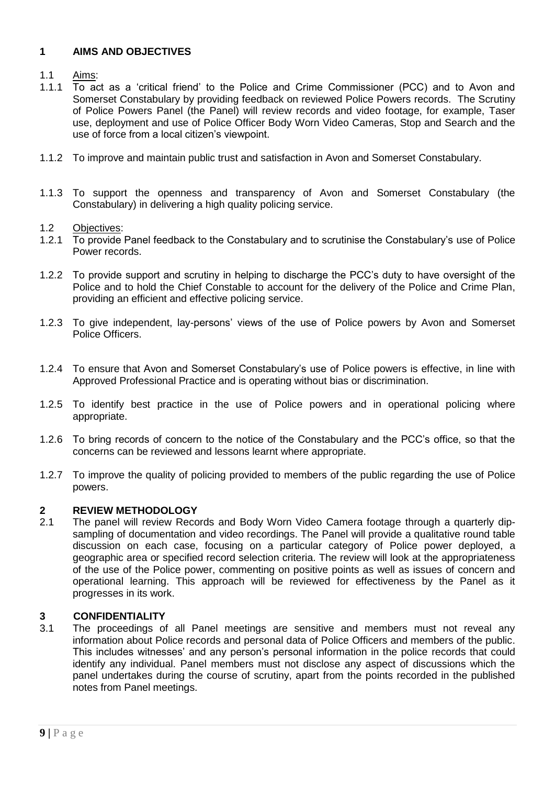### **1 AIMS AND OBJECTIVES**

### 1.1 Aims:

- 1.1.1 To act as a 'critical friend' to the Police and Crime Commissioner (PCC) and to Avon and Somerset Constabulary by providing feedback on reviewed Police Powers records. The Scrutiny of Police Powers Panel (the Panel) will review records and video footage, for example, Taser use, deployment and use of Police Officer Body Worn Video Cameras, Stop and Search and the use of force from a local citizen's viewpoint.
- 1.1.2 To improve and maintain public trust and satisfaction in Avon and Somerset Constabulary.
- 1.1.3 To support the openness and transparency of Avon and Somerset Constabulary (the Constabulary) in delivering a high quality policing service.

#### 1.2 Objectives:

- 1.2.1 To provide Panel feedback to the Constabulary and to scrutinise the Constabulary's use of Police Power records.
- 1.2.2 To provide support and scrutiny in helping to discharge the PCC's duty to have oversight of the Police and to hold the Chief Constable to account for the delivery of the Police and Crime Plan, providing an efficient and effective policing service.
- 1.2.3 To give independent, lay-persons' views of the use of Police powers by Avon and Somerset Police Officers.
- 1.2.4 To ensure that Avon and Somerset Constabulary's use of Police powers is effective, in line with Approved Professional Practice and is operating without bias or discrimination.
- 1.2.5 To identify best practice in the use of Police powers and in operational policing where appropriate.
- 1.2.6 To bring records of concern to the notice of the Constabulary and the PCC's office, so that the concerns can be reviewed and lessons learnt where appropriate.
- 1.2.7 To improve the quality of policing provided to members of the public regarding the use of Police powers.

## **2.1 REVIEW METHODOLOGY**<br>2.1 The panel will review Reco

The panel will review Records and Body Worn Video Camera footage through a quarterly dipsampling of documentation and video recordings. The Panel will provide a qualitative round table discussion on each case, focusing on a particular category of Police power deployed, a geographic area or specified record selection criteria. The review will look at the appropriateness of the use of the Police power, commenting on positive points as well as issues of concern and operational learning. This approach will be reviewed for effectiveness by the Panel as it progresses in its work.

### **3 CONFIDENTIALITY**

3.1 The proceedings of all Panel meetings are sensitive and members must not reveal any information about Police records and personal data of Police Officers and members of the public. This includes witnesses' and any person's personal information in the police records that could identify any individual. Panel members must not disclose any aspect of discussions which the panel undertakes during the course of scrutiny, apart from the points recorded in the published notes from Panel meetings.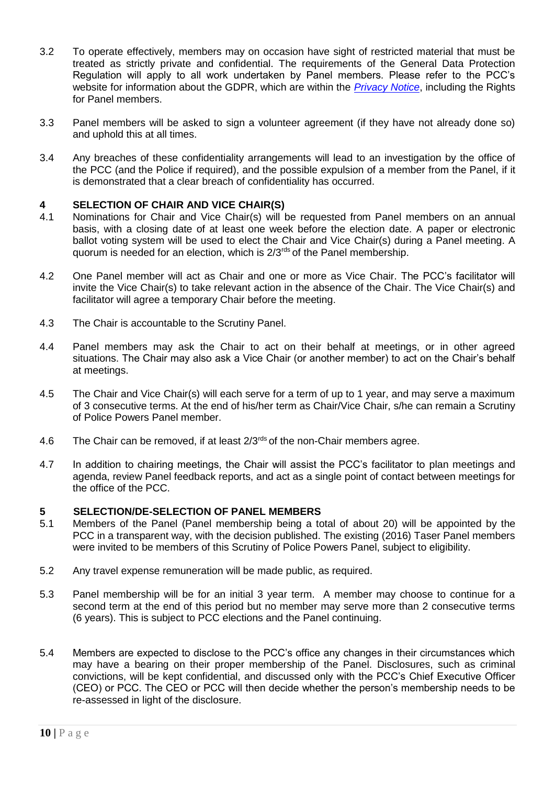- 3.2 To operate effectively, members may on occasion have sight of restricted material that must be treated as strictly private and confidential. The requirements of the General Data Protection Regulation will apply to all work undertaken by Panel members. Please refer to the PCC's website for information about the GDPR, which are within the *[Privacy Notice](https://www.avonandsomerset-pcc.gov.uk/Feedback/DataProtection.aspx)*, including the Rights for Panel members.
- 3.3 Panel members will be asked to sign a volunteer agreement (if they have not already done so) and uphold this at all times.
- 3.4 Any breaches of these confidentiality arrangements will lead to an investigation by the office of the PCC (and the Police if required), and the possible expulsion of a member from the Panel, if it is demonstrated that a clear breach of confidentiality has occurred.

### **4 SELECTION OF CHAIR AND VICE CHAIR(S)**

- 4.1 Nominations for Chair and Vice Chair(s) will be requested from Panel members on an annual basis, with a closing date of at least one week before the election date. A paper or electronic ballot voting system will be used to elect the Chair and Vice Chair(s) during a Panel meeting. A quorum is needed for an election, which is 2/3<sup>rds</sup> of the Panel membership.
- 4.2 One Panel member will act as Chair and one or more as Vice Chair. The PCC's facilitator will invite the Vice Chair(s) to take relevant action in the absence of the Chair. The Vice Chair(s) and facilitator will agree a temporary Chair before the meeting.
- 4.3 The Chair is accountable to the Scrutiny Panel.
- 4.4 Panel members may ask the Chair to act on their behalf at meetings, or in other agreed situations. The Chair may also ask a Vice Chair (or another member) to act on the Chair's behalf at meetings.
- 4.5 The Chair and Vice Chair(s) will each serve for a term of up to 1 year, and may serve a maximum of 3 consecutive terms. At the end of his/her term as Chair/Vice Chair, s/he can remain a Scrutiny of Police Powers Panel member.
- 4.6 The Chair can be removed, if at least 2/3<sup>rds</sup> of the non-Chair members agree.
- 4.7 In addition to chairing meetings, the Chair will assist the PCC's facilitator to plan meetings and agenda, review Panel feedback reports, and act as a single point of contact between meetings for the office of the PCC.

### **5 SELECTION/DE-SELECTION OF PANEL MEMBERS**

- 5.1 Members of the Panel (Panel membership being a total of about 20) will be appointed by the PCC in a transparent way, with the decision published. The existing (2016) Taser Panel members were invited to be members of this Scrutiny of Police Powers Panel, subject to eligibility.
- 5.2 Any travel expense remuneration will be made public, as required.
- 5.3 Panel membership will be for an initial 3 year term. A member may choose to continue for a second term at the end of this period but no member may serve more than 2 consecutive terms (6 years). This is subject to PCC elections and the Panel continuing.
- 5.4 Members are expected to disclose to the PCC's office any changes in their circumstances which may have a bearing on their proper membership of the Panel. Disclosures, such as criminal convictions, will be kept confidential, and discussed only with the PCC's Chief Executive Officer (CEO) or PCC. The CEO or PCC will then decide whether the person's membership needs to be re-assessed in light of the disclosure.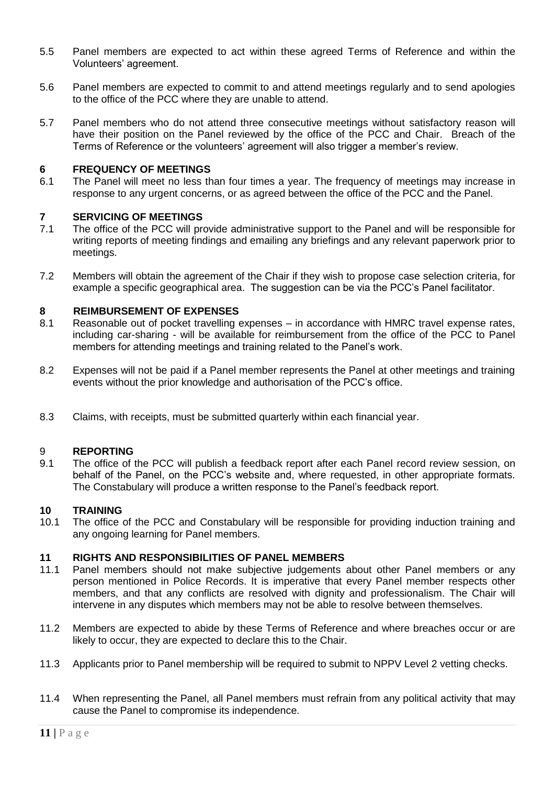- 5.5 Panel members are expected to act within these agreed Terms of Reference and within the Volunteers' agreement.
- 5.6 Panel members are expected to commit to and attend meetings regularly and to send apologies to the office of the PCC where they are unable to attend.
- 5.7 Panel members who do not attend three consecutive meetings without satisfactory reason will have their position on the Panel reviewed by the office of the PCC and Chair. Breach of the Terms of Reference or the volunteers' agreement will also trigger a member's review.

### **6 FREQUENCY OF MEETINGS**

6.1 The Panel will meet no less than four times a year. The frequency of meetings may increase in response to any urgent concerns, or as agreed between the office of the PCC and the Panel.

### **7 SERVICING OF MEETINGS**

- 7.1 The office of the PCC will provide administrative support to the Panel and will be responsible for writing reports of meeting findings and emailing any briefings and any relevant paperwork prior to meetings.
- 7.2 Members will obtain the agreement of the Chair if they wish to propose case selection criteria, for example a specific geographical area. The suggestion can be via the PCC's Panel facilitator.

## **8 REIMBURSEMENT OF EXPENSES**<br>8.1 **Reasonable out of pocket travelling 6**

- Reasonable out of pocket travelling expenses in accordance with HMRC travel expense rates, including car-sharing - will be available for reimbursement from the office of the PCC to Panel members for attending meetings and training related to the Panel's work.
- 8.2 Expenses will not be paid if a Panel member represents the Panel at other meetings and training events without the prior knowledge and authorisation of the PCC's office.
- 8.3 Claims, with receipts, must be submitted quarterly within each financial year.

### 9 **REPORTING**

9.1 The office of the PCC will publish a feedback report after each Panel record review session, on behalf of the Panel, on the PCC's website and, where requested, in other appropriate formats. The Constabulary will produce a written response to the Panel's feedback report.

### **10 TRAINING**

10.1 The office of the PCC and Constabulary will be responsible for providing induction training and any ongoing learning for Panel members.

### **11 RIGHTS AND RESPONSIBILITIES OF PANEL MEMBERS**

- 11.1 Panel members should not make subjective judgements about other Panel members or any person mentioned in Police Records. It is imperative that every Panel member respects other members, and that any conflicts are resolved with dignity and professionalism. The Chair will intervene in any disputes which members may not be able to resolve between themselves.
- 11.2 Members are expected to abide by these Terms of Reference and where breaches occur or are likely to occur, they are expected to declare this to the Chair.
- 11.3 Applicants prior to Panel membership will be required to submit to NPPV Level 2 vetting checks.
- 11.4 When representing the Panel, all Panel members must refrain from any political activity that may cause the Panel to compromise its independence.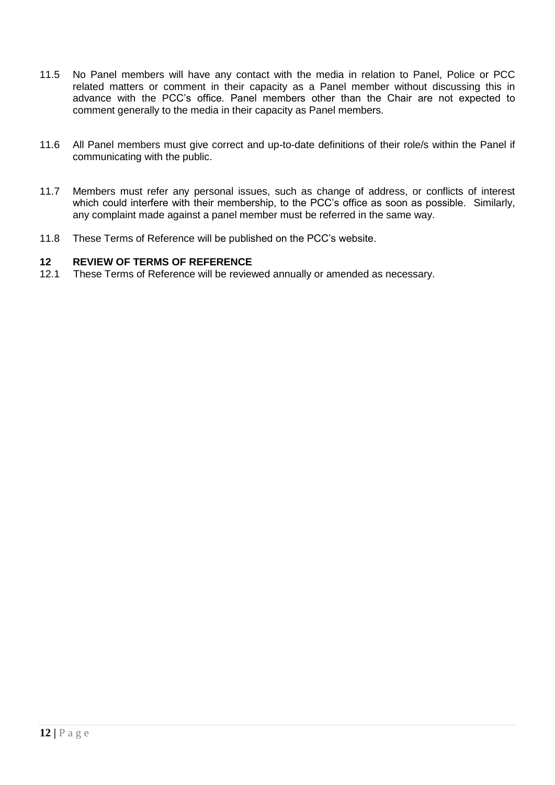- 11.5 No Panel members will have any contact with the media in relation to Panel, Police or PCC related matters or comment in their capacity as a Panel member without discussing this in advance with the PCC's office. Panel members other than the Chair are not expected to comment generally to the media in their capacity as Panel members.
- 11.6 All Panel members must give correct and up-to-date definitions of their role/s within the Panel if communicating with the public.
- 11.7 Members must refer any personal issues, such as change of address, or conflicts of interest which could interfere with their membership, to the PCC's office as soon as possible. Similarly, any complaint made against a panel member must be referred in the same way.
- 11.8 These Terms of Reference will be published on the PCC's website.

### **12 REVIEW OF TERMS OF REFERENCE**

12.1 These Terms of Reference will be reviewed annually or amended as necessary.